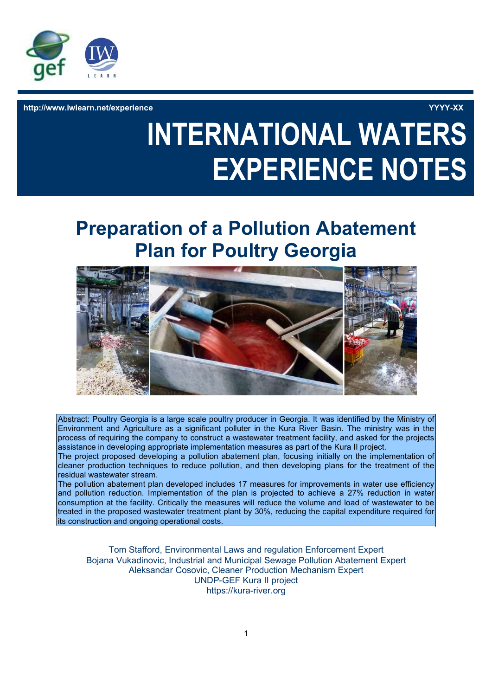

http://www.iwlearn.net/experience YYYY-XX

# INTERNATIONAL WATERS EXPERIENCE NOTES

# Preparation of a Pollution Abatement Plan for Poultry Georgia



Abstract: Poultry Georgia is a large scale poultry producer in Georgia. It was identified by the Ministry of Environment and Agriculture as a significant polluter in the Kura River Basin. The ministry was in the process of requiring the company to construct a wastewater treatment facility, and asked for the projects assistance in developing appropriate implementation measures as part of the Kura II project.

The project proposed developing a pollution abatement plan, focusing initially on the implementation of cleaner production techniques to reduce pollution, and then developing plans for the treatment of the residual wastewater stream.

The pollution abatement plan developed includes 17 measures for improvements in water use efficiency and pollution reduction. Implementation of the plan is projected to achieve a 27% reduction in water consumption at the facility. Critically the measures will reduce the volume and load of wastewater to be treated in the proposed wastewater treatment plant by 30%, reducing the capital expenditure required for its construction and ongoing operational costs.

Tom Stafford, Environmental Laws and regulation Enforcement Expert Bojana Vukadinovic, Industrial and Municipal Sewage Pollution Abatement Expert Aleksandar Cosovic, Cleaner Production Mechanism Expert UNDP-GEF Kura II project https://kura-river.org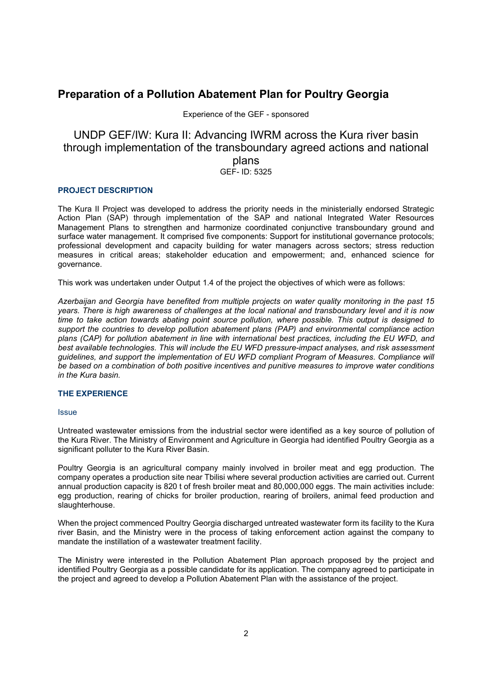## Preparation of a Pollution Abatement Plan for Poultry Georgia

Experience of the GEF - sponsored

### UNDP GEF/IW: Kura II: Advancing IWRM across the Kura river basin through implementation of the transboundary agreed actions and national plans GEF- ID: 5325

#### PROJECT DESCRIPTION

The Kura II Project was developed to address the priority needs in the ministerially endorsed Strategic Action Plan (SAP) through implementation of the SAP and national Integrated Water Resources Management Plans to strengthen and harmonize coordinated conjunctive transboundary ground and surface water management. It comprised five components: Support for institutional governance protocols; professional development and capacity building for water managers across sectors; stress reduction measures in critical areas; stakeholder education and empowerment; and, enhanced science for governance.

This work was undertaken under Output 1.4 of the project the objectives of which were as follows:

Azerbaijan and Georgia have benefited from multiple projects on water quality monitoring in the past 15 years. There is high awareness of challenges at the local national and transboundary level and it is now time to take action towards abating point source pollution, where possible. This output is designed to support the countries to develop pollution abatement plans (PAP) and environmental compliance action plans (CAP) for pollution abatement in line with international best practices, including the EU WFD, and best available technologies. This will include the EU WFD pressure-impact analyses, and risk assessment guidelines, and support the implementation of EU WFD compliant Program of Measures. Compliance will be based on a combination of both positive incentives and punitive measures to improve water conditions in the Kura basin.

#### THE EXPERIENCE

#### Issue

Untreated wastewater emissions from the industrial sector were identified as a key source of pollution of the Kura River. The Ministry of Environment and Agriculture in Georgia had identified Poultry Georgia as a significant polluter to the Kura River Basin.

Poultry Georgia is an agricultural company mainly involved in broiler meat and egg production. The company operates a production site near Tbilisi where several production activities are carried out. Current annual production capacity is 820 t of fresh broiler meat and 80,000,000 eggs. The main activities include: egg production, rearing of chicks for broiler production, rearing of broilers, animal feed production and slaughterhouse.

When the project commenced Poultry Georgia discharged untreated wastewater form its facility to the Kura river Basin, and the Ministry were in the process of taking enforcement action against the company to mandate the instillation of a wastewater treatment facility.

The Ministry were interested in the Pollution Abatement Plan approach proposed by the project and identified Poultry Georgia as a possible candidate for its application. The company agreed to participate in the project and agreed to develop a Pollution Abatement Plan with the assistance of the project.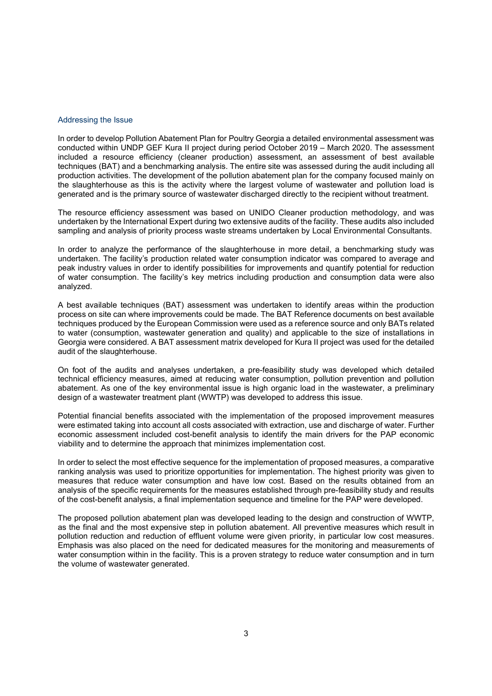#### Addressing the Issue

In order to develop Pollution Abatement Plan for Poultry Georgia a detailed environmental assessment was conducted within UNDP GEF Kura II project during period October 2019 – March 2020. The assessment included a resource efficiency (cleaner production) assessment, an assessment of best available techniques (BAT) and a benchmarking analysis. The entire site was assessed during the audit including all production activities. The development of the pollution abatement plan for the company focused mainly on the slaughterhouse as this is the activity where the largest volume of wastewater and pollution load is generated and is the primary source of wastewater discharged directly to the recipient without treatment.

The resource efficiency assessment was based on UNIDO Cleaner production methodology, and was undertaken by the International Expert during two extensive audits of the facility. These audits also included sampling and analysis of priority process waste streams undertaken by Local Environmental Consultants.

In order to analyze the performance of the slaughterhouse in more detail, a benchmarking study was undertaken. The facility's production related water consumption indicator was compared to average and peak industry values in order to identify possibilities for improvements and quantify potential for reduction of water consumption. The facility's key metrics including production and consumption data were also analyzed.

A best available techniques (BAT) assessment was undertaken to identify areas within the production process on site can where improvements could be made. The BAT Reference documents on best available techniques produced by the European Commission were used as a reference source and only BATs related to water (consumption, wastewater generation and quality) and applicable to the size of installations in Georgia were considered. A BAT assessment matrix developed for Kura II project was used for the detailed audit of the slaughterhouse.

On foot of the audits and analyses undertaken, a pre-feasibility study was developed which detailed technical efficiency measures, aimed at reducing water consumption, pollution prevention and pollution abatement. As one of the key environmental issue is high organic load in the wastewater, a preliminary design of a wastewater treatment plant (WWTP) was developed to address this issue.

Potential financial benefits associated with the implementation of the proposed improvement measures were estimated taking into account all costs associated with extraction, use and discharge of water. Further economic assessment included cost-benefit analysis to identify the main drivers for the PAP economic viability and to determine the approach that minimizes implementation cost.

In order to select the most effective sequence for the implementation of proposed measures, a comparative ranking analysis was used to prioritize opportunities for implementation. The highest priority was given to measures that reduce water consumption and have low cost. Based on the results obtained from an analysis of the specific requirements for the measures established through pre-feasibility study and results of the cost-benefit analysis, a final implementation sequence and timeline for the PAP were developed.

The proposed pollution abatement plan was developed leading to the design and construction of WWTP, as the final and the most expensive step in pollution abatement. All preventive measures which result in pollution reduction and reduction of effluent volume were given priority, in particular low cost measures. Emphasis was also placed on the need for dedicated measures for the monitoring and measurements of water consumption within in the facility. This is a proven strategy to reduce water consumption and in turn the volume of wastewater generated.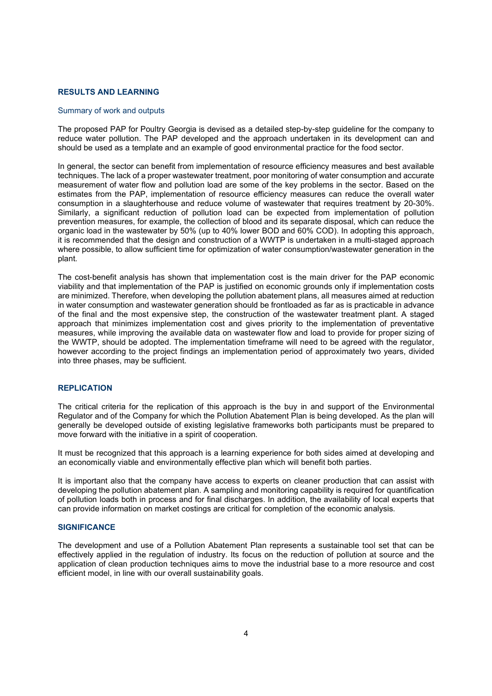#### RESULTS AND LEARNING

#### Summary of work and outputs

The proposed PAP for Poultry Georgia is devised as a detailed step-by-step guideline for the company to reduce water pollution. The PAP developed and the approach undertaken in its development can and should be used as a template and an example of good environmental practice for the food sector.

In general, the sector can benefit from implementation of resource efficiency measures and best available techniques. The lack of a proper wastewater treatment, poor monitoring of water consumption and accurate measurement of water flow and pollution load are some of the key problems in the sector. Based on the estimates from the PAP, implementation of resource efficiency measures can reduce the overall water consumption in a slaughterhouse and reduce volume of wastewater that requires treatment by 20-30%. Similarly, a significant reduction of pollution load can be expected from implementation of pollution prevention measures, for example, the collection of blood and its separate disposal, which can reduce the organic load in the wastewater by 50% (up to 40% lower BOD and 60% COD). In adopting this approach, it is recommended that the design and construction of a WWTP is undertaken in a multi-staged approach where possible, to allow sufficient time for optimization of water consumption/wastewater generation in the plant.

The cost-benefit analysis has shown that implementation cost is the main driver for the PAP economic viability and that implementation of the PAP is justified on economic grounds only if implementation costs are minimized. Therefore, when developing the pollution abatement plans, all measures aimed at reduction in water consumption and wastewater generation should be frontloaded as far as is practicable in advance of the final and the most expensive step, the construction of the wastewater treatment plant. A staged approach that minimizes implementation cost and gives priority to the implementation of preventative measures, while improving the available data on wastewater flow and load to provide for proper sizing of the WWTP, should be adopted. The implementation timeframe will need to be agreed with the regulator, however according to the project findings an implementation period of approximately two years, divided into three phases, may be sufficient.

#### REPLICATION

The critical criteria for the replication of this approach is the buy in and support of the Environmental Regulator and of the Company for which the Pollution Abatement Plan is being developed. As the plan will generally be developed outside of existing legislative frameworks both participants must be prepared to move forward with the initiative in a spirit of cooperation.

It must be recognized that this approach is a learning experience for both sides aimed at developing and an economically viable and environmentally effective plan which will benefit both parties.

It is important also that the company have access to experts on cleaner production that can assist with developing the pollution abatement plan. A sampling and monitoring capability is required for quantification of pollution loads both in process and for final discharges. In addition, the availability of local experts that can provide information on market costings are critical for completion of the economic analysis.

#### **SIGNIFICANCE**

The development and use of a Pollution Abatement Plan represents a sustainable tool set that can be effectively applied in the regulation of industry. Its focus on the reduction of pollution at source and the application of clean production techniques aims to move the industrial base to a more resource and cost efficient model, in line with our overall sustainability goals.